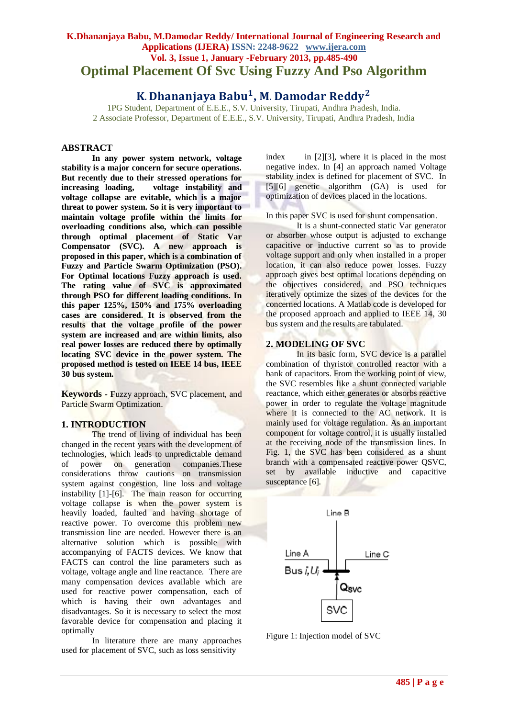## **K.Dhananjaya Babu, M.Damodar Reddy/ International Journal of Engineering Research and Applications (IJERA) ISSN: 2248-9622 www.ijera.com Vol. 3, Issue 1, January -February 2013, pp.485-490 Optimal Placement Of Svc Using Fuzzy And Pso Algorithm**

# K. Dhananjaya Babu<sup>1</sup>, M. Damodar Reddy<sup>2</sup>

1PG Student, Department of E.E.E., S.V. University, Tirupati, Andhra Pradesh, India. 2 Associate Professor, Department of E.E.E., S.V. University, Tirupati, Andhra Pradesh, India

## **ABSTRACT**

**In any power system network, voltage stability is a major concern for secure operations. But recently due to their stressed operations for increasing loading, voltage instability and voltage collapse are evitable, which is a major threat to power system. So it is very important to maintain voltage profile within the limits for overloading conditions also, which can possible through optimal placement of Static Var Compensator (SVC). A new approach is proposed in this paper, which is a combination of Fuzzy and Particle Swarm Optimization (PSO). For Optimal locations Fuzzy approach is used. The rating value of SVC is approximated through PSO for different loading conditions. In this paper 125%, 150% and 175% overloading cases are considered. It is observed from the results that the voltage profile of the power system are increased and are within limits, also real power losses are reduced there by optimally locating SVC device in the power system. The proposed method is tested on IEEE 14 bus, IEEE 30 bus system.**

**Keywords** *-* **F**uzzy approach, SVC placement, and Particle Swarm Optimization.

## **1. INTRODUCTION**

The trend of living of individual has been changed in the recent years with the development of technologies, which leads to unpredictable demand of power on generation companies.These considerations throw cautions on transmission system against congestion, line loss and voltage instability [1]-[6]. The main reason for occurring voltage collapse is when the power system is heavily loaded, faulted and having shortage of reactive power. To overcome this problem new transmission line are needed. However there is an alternative solution which is possible with accompanying of FACTS devices. We know that FACTS can control the line parameters such as voltage, voltage angle and line reactance. There are many compensation devices available which are used for reactive power compensation, each of which is having their own advantages and disadvantages. So it is necessary to select the most favorable device for compensation and placing it optimally

In literature there are many approaches used for placement of SVC, such as loss sensitivity

index in [2][3], where it is placed in the most negative index. In [4] an approach named Voltage stability index is defined for placement of SVC. In [5][6] genetic algorithm (GA) is used for optimization of devices placed in the locations.

In this paper SVC is used for shunt compensation.

It is a shunt-connected static Var generator or absorber whose output is adjusted to exchange capacitive or inductive current so as to provide voltage support and only when installed in a proper location, it can also reduce power losses. Fuzzy approach gives best optimal locations depending on the objectives considered, and PSO techniques iteratively optimize the sizes of the devices for the concerned locations. A Matlab code is developed for the proposed approach and applied to IEEE 14, 30 bus system and the results are tabulated.

#### **2. MODELING OF SVC**

In its basic form, SVC device is a parallel combination of thyristor controlled reactor with a bank of capacitors. From the working point of view, the SVC resembles like a shunt connected variable reactance, which either generates or absorbs reactive power in order to regulate the voltage magnitude where it is connected to the AC network. It is mainly used for voltage regulation. As an important component for voltage control, it is usually installed at the receiving node of the transmission lines. In Fig. 1, the SVC has been considered as a shunt branch with a compensated reactive power QSVC, set by available inductive and capacitive susceptance [6].



Figure 1: Injection model of SVC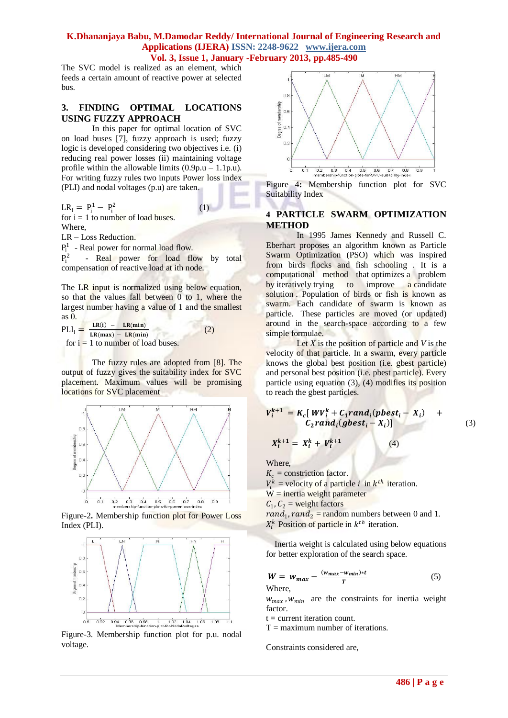The SVC model is realized as an element, which feeds a certain amount of reactive power at selected bus.

## **3. FINDING OPTIMAL LOCATIONS USING FUZZY APPROACH**

In this paper for optimal location of SVC on load buses [7], fuzzy approach is used; fuzzy logic is developed considering two objectives i.e. (i) reducing real power losses (ii) maintaining voltage profile within the allowable limits  $(0.9p.u - 1.1p.u)$ . For writing fuzzy rules two inputs Power loss index (PLI) and nodal voltages (p.u) are taken.

(1)

 $LR_i = P_i^1 - P_i^2$ 

for  $i = 1$  to number of load buses. Where,

LR – Loss Reduction.

 $P_i^1$  - Real power for normal load flow.

 $P_i^2$ - Real power for load flow by total compensation of reactive load at ith node.

The LR input is normalized using below equation, so that the values fall between 0 to 1, where the largest number having a value of 1 and the smallest as 0.

 $\text{PLI}_i = \frac{\text{LR}(i) - \text{LR}(\text{min})}{\text{LR}(\text{max}) - \text{LR}(\text{min})}$  $LR(max) - LR(min)$  (2) for  $i = 1$  to number of load buses.

The fuzzy rules are adopted from [8]. The output of fuzzy gives the suitability index for SVC placement. Maximum values will be promising locations for SVC placement



Figure-2**.** Membership function plot for Power Loss Index (PLI).



Figure-3. Membership function plot for p.u. nodal voltage.



Figure 4**:** Membership function plot for SVC Suitability Index

## **4 PARTICLE SWARM OPTIMIZATION METHOD**

In 1995 James Kennedy and Russell C. Eberhart proposes an algorithm known as Particle Swarm Optimization (PSO) which was inspired from birds flocks and fish schooling . It is a computational method that [optimizes](http://en.wikipedia.org/wiki/Mathematical_optimization) a problem by [iteratively](http://en.wikipedia.org/wiki/Iterative_method) trying to improve a candidate [solution](http://en.wikipedia.org/wiki/Candidate_solution) . Population of birds or fish is known as swarm. Each candidate of swarm is known as particle. These particles are moved (or updated) around in the search-space according to a few simple formulae.

Let *X* is the position of particle and *V* is the velocity of that particle. In a swarm, every particle knows the global best position (i.e. gbest particle) and personal best position (i.e. pbest particle). Every particle using equation (3), (4) modifies its position to reach the gbest particles.

$$
V_i^{k+1} = K_c[WV_i^k + C_1 rand_i(pbest_i - X_i) + C_2 rand_i(gbest_i - X_i)]
$$
\n(3)

 $(4)$ 

Where,

 $K_c$  = constriction factor.

 $X_i^{k+1} = X_i^k + V_i^{k+1}$ 

 $V_i^k$  = velocity of a particle *i* in  $k^{th}$  iteration. W = inertia weight parameter  $C_1$ ,  $C_2$  = weight factors  $rand_1, rand_2$  = random numbers between 0 and 1.

 $X_i^k$  Position of particle in  $k^{th}$  iteration.

 Inertia weight is calculated using below equations for better exploration of the search space.

$$
W = W_{max} - \frac{(w_{max} - w_{min}) \cdot t}{T}
$$
 (5)

Where,

 $w_{max}$ ,  $w_{min}$  are the constraints for inertia weight factor.

 $t =$  current iteration count.

 $T =$  maximum number of iterations.

Constraints considered are,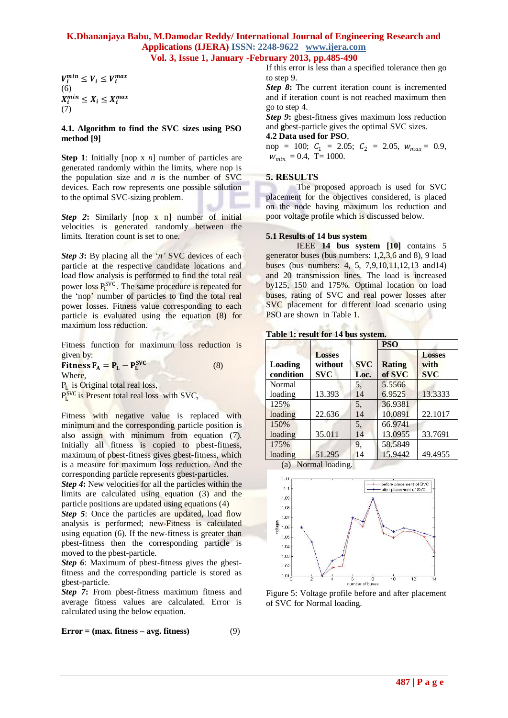$V_i^{min} \leq V_i \leq V_i^{max}$ (6)  $X_i^{min} \leq X_i \leq X_i^{max}$ (7)

#### **4.1. Algorithm to find the SVC sizes using PSO method [9]**

**Step 1**: Initially [nop x *n*] number of particles are generated randomly within the limits, where nop is the population size and  $n$  is the number of SVC devices. Each row represents one possible solution to the optimal SVC-sizing problem.

*Step 2***:** Similarly [nop x n] number of initial velocities is generated randomly between the limits. Iteration count is set to one.

*Step 3*: By placing all the '*n*' SVC devices of each particle at the respective candidate locations and load flow analysis is performed to find the total real power loss P<sub>L</sub><sup>SVC</sup>. The same procedure is repeated for the 'nop' number of particles to find the total real power losses. Fitness value corresponding to each particle is evaluated using the equation (8) for maximum loss reduction.

Fitness function for maximum loss reduction is given by:

(8)

Fitness  $F_A = P_L - P_L^{SVC}$ Where,

P<sub>L</sub> is Original total real loss,

PL<sup>SVC</sup> is Present total real loss with SVC,

Fitness with negative value is replaced with minimum and the corresponding particle position is also assign with minimum from equation (7). Initially all fitness is copied to pbest-fitness, maximum of pbest-fitness gives gbest-fitness, which is a measure for maximum loss reduction. And the corresponding particle represents gbest-particles.

*Step 4***:** New velocities for all the particles within the limits are calculated using equation (3) and the particle positions are updated using equations (4)

*Step 5*: Once the particles are updated, load flow analysis is performed; new-Fitness is calculated using equation (6). If the new-fitness is greater than pbest-fitness then the corresponding particle is moved to the pbest-particle.

*Step 6*: Maximum of pbest-fitness gives the gbestfitness and the corresponding particle is stored as gbest-particle.

*Step 7***:** From pbest-fitness maximum fitness and average fitness values are calculated. Error is calculated using the below equation.

$$
Error = (max. fitness - avg. fitness)
$$
 (9)

If this error is less than a specified tolerance then go to step 9.

**Step 8:** The current iteration count is incremented and if iteration count is not reached maximum then go to step 4.

*Step 9*: gbest-fitness gives maximum loss reduction and **g**best-particle gives the optimal SVC sizes.

**4.2 Data used for PSO**,

 $nop = 100; C_1 = 2.05; C_2 = 2.05, w_{max} = 0.9,$  $W_{min} = 0.4$ , T= 1000.

#### **5. RESULTS**

The proposed approach is used for SVC placement for the objectives considered, is placed on the node having maximum los reduction and poor voltage profile which is discussed below.

#### **5.1 Results of 14 bus system**

IEEE **14 bus system [10]** contains 5 generator buses (bus numbers: 1,2,3,6 and 8), 9 load buses (bus numbers: 4, 5, 7,9,10,11,12,13 and14) and 20 transmission lines. The load is increased by125, 150 and 175%. Optimal location on load buses, rating of SVC and real power losses after SVC placement for different load scenario using PSO are shown in Table 1.

|  |  |  |  |  | Table 1: result for 14 bus system. |
|--|--|--|--|--|------------------------------------|
|--|--|--|--|--|------------------------------------|

 $16.5 - 16.4$ 

|                      |                                        |                    | <b>PSO</b>              |                                     |
|----------------------|----------------------------------------|--------------------|-------------------------|-------------------------------------|
| Loading<br>condition | <b>Losses</b><br>without<br><b>SVC</b> | <b>SVC</b><br>Loc. | <b>Rating</b><br>of SVC | <b>Losses</b><br>with<br><b>SVC</b> |
| Normal               |                                        | 5.                 | 5.5566                  |                                     |
| loading              | 13.393                                 | 14                 | 6.9525                  | 13.3333                             |
| 125%                 |                                        | 5,                 | 36.9381                 |                                     |
| loading              | 22.636                                 | 14                 | 10.0891                 | 22.1017                             |
| 150%                 |                                        | 5,                 | 66.9741                 |                                     |
| loading              | 35.011                                 | 14                 | 13.0955                 | 33.7691                             |
| 175%                 |                                        | 9.                 | 58.5849                 |                                     |
| loading              | 51.295                                 | 14                 | 15.9442                 | 49.4955                             |
|                      | $(a)$ Manuellac din a                  |                    |                         |                                     |

(a) Normal loading.



Figure 5: Voltage profile before and after placement of SVC for Normal loading.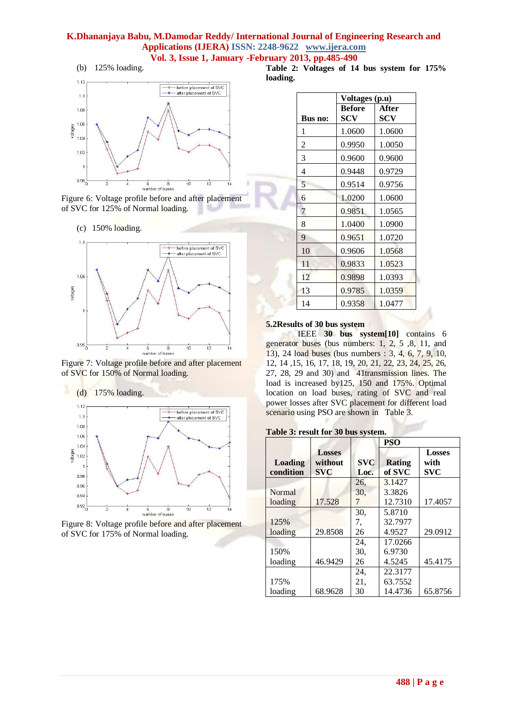

Figure 6: Voltage profile before and after placement of SVC for 125% of Normal loading.

(c) 150% loading.







Figure 8: Voltage profile before and after placement of SVC for 175% of Normal loading.

**Table 2: Voltages of 14 bus system for 175% loading.**

|                | Voltages (p.u)       |              |  |  |  |
|----------------|----------------------|--------------|--|--|--|
| Bus no:        | <b>Before</b><br>SCV | After<br>SCV |  |  |  |
| 1              | 1.0600               | 1.0600       |  |  |  |
| $\overline{2}$ | 0.9950               | 1.0050       |  |  |  |
| 3              | 0.9600               | 0.9600       |  |  |  |
| 4              | 0.9448               | 0.9729       |  |  |  |
| 5              | 0.9514               | 0.9756       |  |  |  |
| 6              | 1.0200               | 1.0600       |  |  |  |
| 7              | 0.9851               | 1.0565       |  |  |  |
| 8              | 1.0400               | 1.0900       |  |  |  |
| 9              | 0.9651               | 1.0720       |  |  |  |
| 10             | 0.9606               | 1.0568       |  |  |  |
| 11             | 0.9833               | 1.0523       |  |  |  |
| 12             | 0.9898               | 1.0393       |  |  |  |
| 13             | 0.9785               | 1.0359       |  |  |  |
| 14             | 0.9358               | 1.0477       |  |  |  |

#### **5.2Results of 30 bus system**

 IEEE **30 bus system[10]** contains 6 generator buses (bus numbers: 1, 2, 5 ,8, 11, and 13), 24 load buses (bus numbers : 3, 4, 6, 7, 9, 10, 12, 14 ,15, 16, 17, 18, 19, 20, 21, 22, 23, 24, 25, 26, 27, 28, 29 and 30) and 41transmission lines. The load is increased by125, 150 and 175%. Optimal location on load buses, rating of SVC and real power losses after SVC placement for different load scenario using PSO are shown in Table 3.

#### **Table 3: result for 30 bus system.**

|                |               |            | <b>PSO</b> |               |
|----------------|---------------|------------|------------|---------------|
|                | <b>Losses</b> |            |            | <b>Losses</b> |
| <b>Loading</b> | without       | <b>SVC</b> | Rating     | with          |
| condition      | <b>SVC</b>    | Loc.       | of SVC     | <b>SVC</b>    |
|                |               | 26,        | 3.1427     |               |
| Normal         |               | 30.        | 3.3826     |               |
| loading        | 17.528        | 7          | 12.7310    | 17.4057       |
|                |               | 30,        | 5.8710     |               |
| 125%           |               | 7.         | 32.7977    |               |
| loading        | 29.8508       | 26         | 4.9527     | 29.0912       |
|                |               | 24.        | 17.0266    |               |
| 150%           |               | 30.        | 6.9730     |               |
| loading        | 46.9429       | 26         | 4.5245     | 45.4175       |
|                |               | 24.        | 22.3177    |               |
| 175%           |               | 21.        | 63.7552    |               |
| loading        | 68.9628       | 30         | 14.4736    | 65.8756       |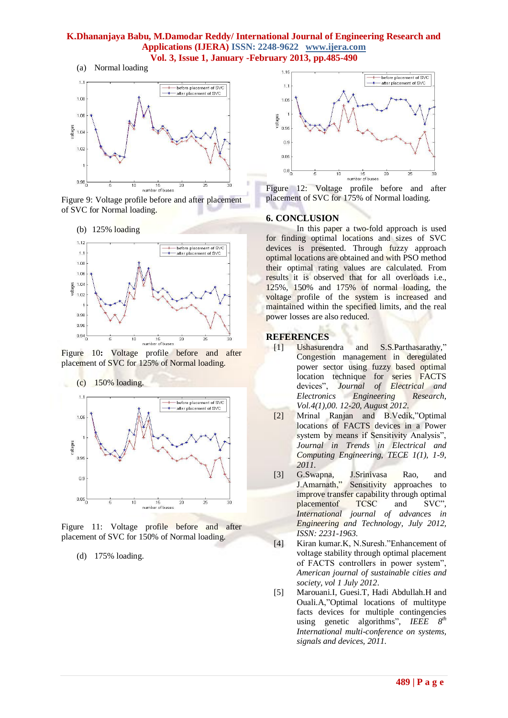

Figure 9: Voltage profile before and after placement of SVC for Normal loading.





Figure 10**:** Voltage profile before and after placement of SVC for 125% of Normal loading.





Figure 11: Voltage profile before and after placement of SVC for 150% of Normal loading.

(d) 175% loading.



Figure 12: Voltage profile before and after placement of SVC for 175% of Normal loading.

#### **6. CONCLUSION**

In this paper a two-fold approach is used for finding optimal locations and sizes of SVC devices is presented. Through fuzzy approach optimal locations are obtained and with PSO method their optimal rating values are calculated. From results it is observed that for all overloads i.e., 125%, 150% and 175% of normal loading, the voltage profile of the system is increased and maintained within the specified limits, and the real power losses are also reduced.

#### **REFERENCES**

- [1] Ushasurendra and S.S.Parthasarathy," Congestion management in deregulated power sector using fuzzy based optimal location technique for series FACTS devices", *Journal of Electrical and Electronics Engineering Research*, *Vol.4(1),00. 12-20, August 2012*.
	- [2] Mrinal Ranjan and B.Vedik,"Optimal locations of FACTS devices in a Power system by means if Sensitivity Analysis", *Journal in Trends in Electrical and Computing Engineering*, *TECE 1(1), 1-9, 2011.*
	- [3] G.Swapna, J.Srinivasa Rao, and J.Amarnath," Sensitivity approaches to improve transfer capability through optimal placementof TCSC and SVC", *International journal of advances in Engineering and Technology, July 2012, ISSN: 2231-1963.*
	- [4] Kiran kumar.K, N.Suresh."Enhancement of voltage stability through optimal placement of FACTS controllers in power system", *American journal of sustainable cities and society, vol 1 July 2012*.
- [5] Marouani.I, Guesi.T, Hadi Abdullah.H and Ouali.A,"Optimal locations of multitype facts devices for multiple contingencies using genetic algorithms", *IEEE*  $8^{th}$ *International multi-conference on systems, signals and devices, 2011.*